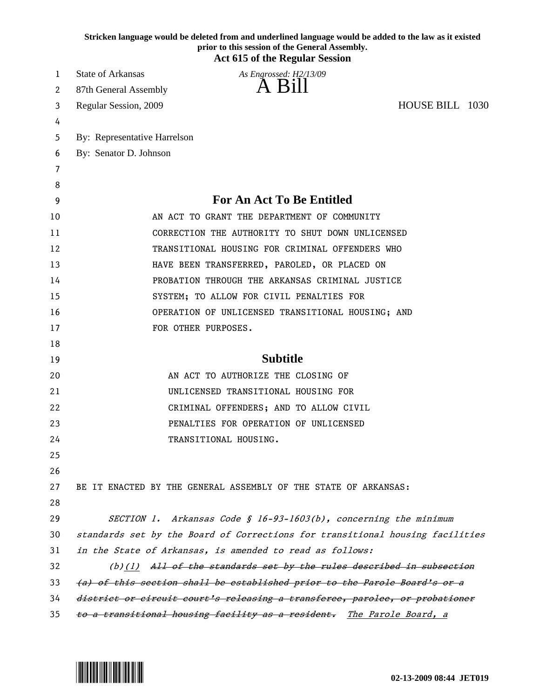|    | Stricken language would be deleted from and underlined language would be added to the law as it existed<br>prior to this session of the General Assembly.<br><b>Act 615 of the Regular Session</b> |
|----|----------------------------------------------------------------------------------------------------------------------------------------------------------------------------------------------------|
| 1  | State of Arkansas<br>As Engrossed: H2/13/09                                                                                                                                                        |
| 2  | A Bill<br>87th General Assembly                                                                                                                                                                    |
| 3  | HOUSE BILL 1030<br>Regular Session, 2009                                                                                                                                                           |
| 4  |                                                                                                                                                                                                    |
| 5  | By: Representative Harrelson                                                                                                                                                                       |
| 6  | By: Senator D. Johnson                                                                                                                                                                             |
| 7  |                                                                                                                                                                                                    |
| 8  |                                                                                                                                                                                                    |
| 9  | <b>For An Act To Be Entitled</b>                                                                                                                                                                   |
| 10 | AN ACT TO GRANT THE DEPARTMENT OF COMMUNITY                                                                                                                                                        |
| 11 | CORRECTION THE AUTHORITY TO SHUT DOWN UNLICENSED                                                                                                                                                   |
| 12 | TRANSITIONAL HOUSING FOR CRIMINAL OFFENDERS WHO                                                                                                                                                    |
| 13 | HAVE BEEN TRANSFERRED, PAROLED, OR PLACED ON                                                                                                                                                       |
| 14 | PROBATION THROUGH THE ARKANSAS CRIMINAL JUSTICE                                                                                                                                                    |
| 15 | SYSTEM; TO ALLOW FOR CIVIL PENALTIES FOR                                                                                                                                                           |
| 16 | OPERATION OF UNLICENSED TRANSITIONAL HOUSING; AND                                                                                                                                                  |
| 17 | FOR OTHER PURPOSES.                                                                                                                                                                                |
| 18 |                                                                                                                                                                                                    |
| 19 | <b>Subtitle</b>                                                                                                                                                                                    |
| 20 | AN ACT TO AUTHORIZE THE CLOSING OF                                                                                                                                                                 |
| 21 | UNLICENSED TRANSITIONAL HOUSING FOR                                                                                                                                                                |
| 22 | CRIMINAL OFFENDERS; AND TO ALLOW CIVIL                                                                                                                                                             |
| 23 | PENALTIES FOR OPERATION OF UNLICENSED                                                                                                                                                              |
| 24 | TRANSITIONAL HOUSING.                                                                                                                                                                              |
| 25 |                                                                                                                                                                                                    |
| 26 |                                                                                                                                                                                                    |
| 27 | BE IT ENACTED BY THE GENERAL ASSEMBLY OF THE STATE OF ARKANSAS:                                                                                                                                    |
| 28 |                                                                                                                                                                                                    |
| 29 | SECTION 1. Arkansas Code § 16-93-1603(b), concerning the minimum                                                                                                                                   |
| 30 | standards set by the Board of Corrections for transitional housing facilities                                                                                                                      |
| 31 | in the State of Arkansas, is amended to read as follows:                                                                                                                                           |
| 32 | $(b)(1)$ All of the standards set by the rules described in subsection                                                                                                                             |
| 33 | (a) of this section shall be established prior to the Parole Board's or a                                                                                                                          |
| 34 | district or circuit court's releasing a transferee, parolee, or probationer                                                                                                                        |
| 35 | to a transitional housing facility as a resident. The Parole Board, a                                                                                                                              |

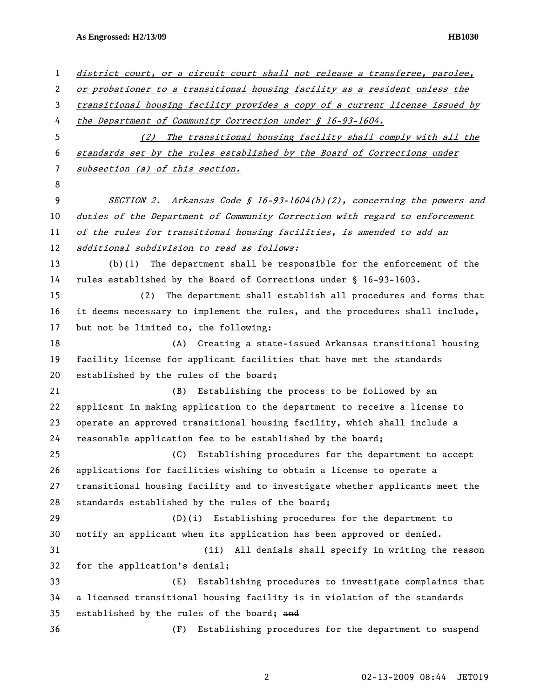**As Engrossed: H2/13/09 HB1030** 

| $\mathbf{1}$ | district court, or a circuit court shall not release a transferee, parolee,  |
|--------------|------------------------------------------------------------------------------|
| 2            | or probationer to a transitional housing facility as a resident unless the   |
| 3            | transitional housing facility provides a copy of a current license issued by |
| 4            | the Department of Community Correction under $\int$ 16-93-1604.              |
| 5            | (2) The transitional housing facility shall comply with all the              |
| 6            | standards set by the rules established by the Board of Corrections under     |
| 7            | subsection (a) of this section.                                              |
| 8            |                                                                              |
| 9            | SECTION 2. Arkansas Code § 16-93-1604(b)(2), concerning the powers and       |
| 10           | duties of the Department of Community Correction with regard to enforcement  |
| 11           | of the rules for transitional housing facilities, is amended to add an       |
| 12           | additional subdivision to read as follows:                                   |
| 13           | $(b)(1)$ The department shall be responsible for the enforcement of the      |
| 14           | rules established by the Board of Corrections under § 16-93-1603.            |
| 15           | The department shall establish all procedures and forms that<br>(2)          |
| 16           | it deems necessary to implement the rules, and the procedures shall include, |
| 17           | but not be limited to, the following:                                        |
| 18           | (A) Creating a state-issued Arkansas transitional housing                    |
| 19           | facility license for applicant facilities that have met the standards        |
| 20           | established by the rules of the board;                                       |
| 21           | Establishing the process to be followed by an<br>(B)                         |
| 22           | applicant in making application to the department to receive a license to    |
| 23           | operate an approved transitional housing facility, which shall include a     |
| 24           | reasonable application fee to be established by the board;                   |
| 25           | (C) Establishing procedures for the department to accept                     |
| 26           | applications for facilities wishing to obtain a license to operate a         |
| 27           | transitional housing facility and to investigate whether applicants meet the |
| 28           | standards established by the rules of the board;                             |
| 29           | (D)(i) Establishing procedures for the department to                         |
| 30           | notify an applicant when its application has been approved or denied.        |
| 31           | (ii)<br>All denials shall specify in writing the reason                      |
| 32           | for the application's denial;                                                |
| 33           | Establishing procedures to investigate complaints that<br>(E)                |
| 34           | a licensed transitional housing facility is in violation of the standards    |
| 35           | established by the rules of the board; and                                   |
| 36           | Establishing procedures for the department to suspend<br>(F)                 |
|              |                                                                              |

2 02-13-2009 08:44 JET019